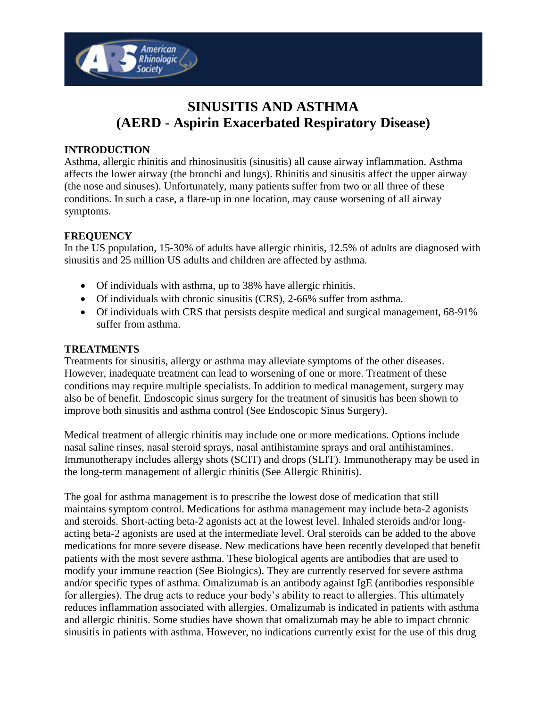

# **SINUSITIS AND ASTHMA (AERD - Aspirin Exacerbated Respiratory Disease)**

### **INTRODUCTION**

Asthma, allergic rhinitis and rhinosinusitis (sinusitis) all cause airway inflammation. Asthma affects the lower airway (the bronchi and lungs). Rhinitis and sinusitis affect the upper airway (the nose and sinuses). Unfortunately, many patients suffer from two or all three of these conditions. In such a case, a flare-up in one location, may cause worsening of all airway symptoms.

#### **FREQUENCY**

In the US population, 15-30% of adults have allergic rhinitis, 12.5% of adults are diagnosed with sinusitis and 25 million US adults and children are affected by asthma.

- Of individuals with asthma, up to 38% have allergic rhinitis.
- Of individuals with chronic sinusitis (CRS), 2-66% suffer from asthma.
- Of individuals with CRS that persists despite medical and surgical management, 68-91% suffer from asthma.

#### **TREATMENTS**

Treatments for sinusitis, allergy or asthma may alleviate symptoms of the other diseases. However, inadequate treatment can lead to worsening of one or more. Treatment of these conditions may require multiple specialists. In addition to medical management, surgery may also be of benefit. Endoscopic sinus surgery for the treatment of sinusitis has been shown to improve both sinusitis and asthma control (See Endoscopic Sinus Surgery).

Medical treatment of allergic rhinitis may include one or more medications. Options include nasal saline rinses, nasal steroid sprays, nasal antihistamine sprays and oral antihistamines. Immunotherapy includes allergy shots (SCIT) and drops (SLIT). Immunotherapy may be used in the long-term management of allergic rhinitis (See Allergic Rhinitis).

The goal for asthma management is to prescribe the lowest dose of medication that still maintains symptom control. Medications for asthma management may include beta-2 agonists and steroids. Short-acting beta-2 agonists act at the lowest level. Inhaled steroids and/or longacting beta-2 agonists are used at the intermediate level. Oral steroids can be added to the above medications for more severe disease. New medications have been recently developed that benefit patients with the most severe asthma. These biological agents are antibodies that are used to modify your immune reaction (See Biologics). They are currently reserved for severe asthma and/or specific types of asthma. Omalizumab is an antibody against IgE (antibodies responsible for allergies). The drug acts to reduce your body's ability to react to allergies. This ultimately reduces inflammation associated with allergies. Omalizumab is indicated in patients with asthma and allergic rhinitis. Some studies have shown that omalizumab may be able to impact chronic sinusitis in patients with asthma. However, no indications currently exist for the use of this drug